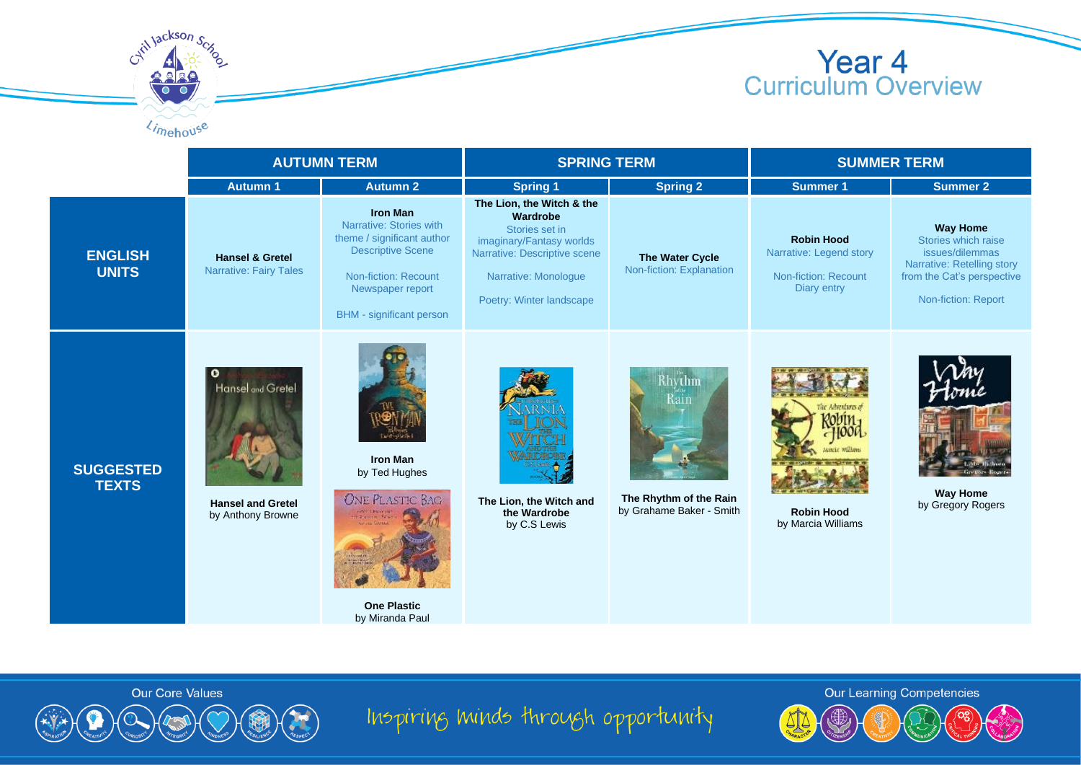

## **Year 4**<br>Curriculum Overview

|                                  | <b>AUTUMN TERM</b>                                                            |                                                                                                                                                                                            | <b>SPRING TERM</b>                                                                                                                                                      |                                                                      | <b>SUMMER TERM</b>                                                                         |                                                                                                                                              |
|----------------------------------|-------------------------------------------------------------------------------|--------------------------------------------------------------------------------------------------------------------------------------------------------------------------------------------|-------------------------------------------------------------------------------------------------------------------------------------------------------------------------|----------------------------------------------------------------------|--------------------------------------------------------------------------------------------|----------------------------------------------------------------------------------------------------------------------------------------------|
|                                  | <b>Autumn 1</b>                                                               | <b>Autumn 2</b>                                                                                                                                                                            | <b>Spring 1</b>                                                                                                                                                         | <b>Spring 2</b>                                                      | <b>Summer 1</b>                                                                            | <b>Summer 2</b>                                                                                                                              |
| <b>ENGLISH</b><br><b>UNITS</b>   | <b>Hansel &amp; Gretel</b><br><b>Narrative: Fairy Tales</b>                   | <b>Iron Man</b><br>Narrative: Stories with<br>theme / significant author<br><b>Descriptive Scene</b><br><b>Non-fiction: Recount</b><br>Newspaper report<br><b>BHM</b> - significant person | The Lion, the Witch & the<br>Wardrobe<br>Stories set in<br>imaginary/Fantasy worlds<br>Narrative: Descriptive scene<br>Narrative: Monologue<br>Poetry: Winter landscape | The Water Cycle<br>Non-fiction: Explanation                          | <b>Robin Hood</b><br>Narrative: Legend story<br><b>Non-fiction: Recount</b><br>Diary entry | <b>Way Home</b><br>Stories which raise<br>issues/dilemmas<br>Narrative: Retelling story<br>from the Cat's perspective<br>Non-fiction: Report |
| <b>SUGGESTED</b><br><b>TEXTS</b> | $\circ$<br>Hansel and Gretel<br><b>Hansel and Gretel</b><br>by Anthony Browne | <b>Iron Man</b><br>by Ted Hughes<br><b>ONE PLASTIC BAG</b><br><b>Figures</b> War<br><b>One Plastic</b><br>by Miranda Paul                                                                  | The Lion, the Witch and<br>the Wardrobe<br>by C.S Lewis                                                                                                                 | Rhythm<br>Kain<br>The Rhythm of the Rain<br>by Grahame Baker - Smith | <b>Robin Hood</b><br>by Marcia Williams                                                    | <b>Way Home</b><br>by Gregory Rogers                                                                                                         |



Cytil Jackson Scy

Limehouse

Inspiring minds through opportunity

**Our Learning Competencies**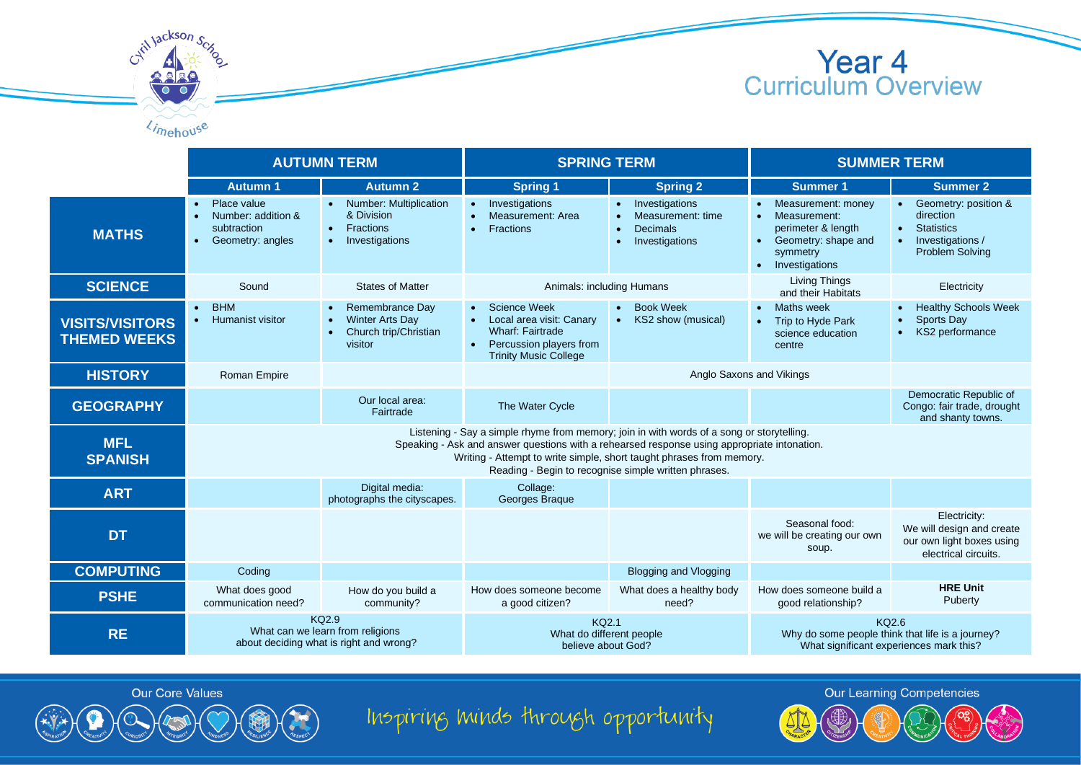





will lackson

Inspiring minds through opportunity

**Our Learning Competencies**